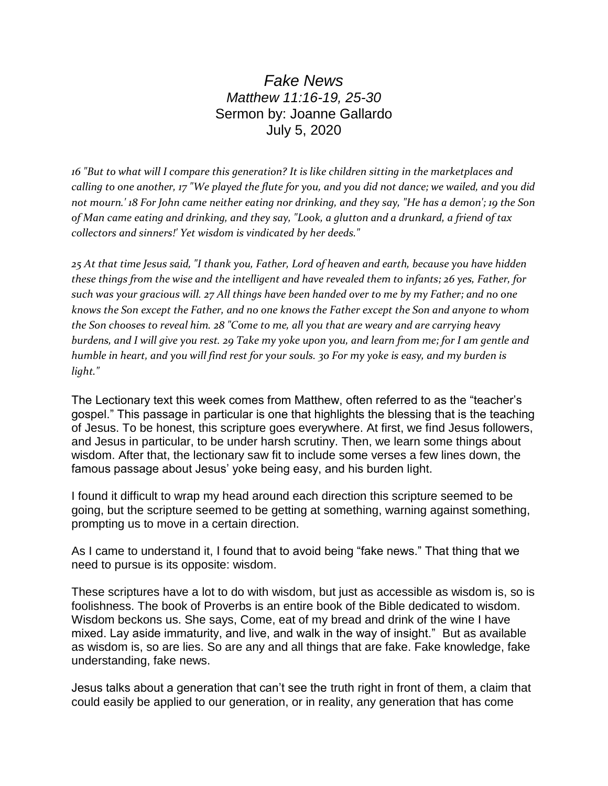## *Fake News Matthew 11:16-19, 25-30* Sermon by: Joanne Gallardo July 5, 2020

*16 "But to what will I compare this generation? It is like children sitting in the marketplaces and calling to one another, 17 "We played the flute for you, and you did not dance; we wailed, and you did not mourn.' 18 For John came neither eating nor drinking, and they say, "He has a demon'; 19 the Son of Man came eating and drinking, and they say, "Look, a glutton and a drunkard, a friend of tax collectors and sinners!' Yet wisdom is vindicated by her deeds."*

*25 At that time Jesus said, "I thank you, Father, Lord of heaven and earth, because you have hidden these things from the wise and the intelligent and have revealed them to infants; 26 yes, Father, for such was your gracious will. 27 All things have been handed over to me by my Father; and no one knows the Son except the Father, and no one knows the Father except the Son and anyone to whom the Son chooses to reveal him. 28 "Come to me, all you that are weary and are carrying heavy burdens, and I will give you rest. 29 Take my yoke upon you, and learn from me; for I am gentle and humble in heart, and you will find rest for your souls. 30 For my yoke is easy, and my burden is light."*

The Lectionary text this week comes from Matthew, often referred to as the "teacher's gospel." This passage in particular is one that highlights the blessing that is the teaching of Jesus. To be honest, this scripture goes everywhere. At first, we find Jesus followers, and Jesus in particular, to be under harsh scrutiny. Then, we learn some things about wisdom. After that, the lectionary saw fit to include some verses a few lines down, the famous passage about Jesus' yoke being easy, and his burden light.

I found it difficult to wrap my head around each direction this scripture seemed to be going, but the scripture seemed to be getting at something, warning against something, prompting us to move in a certain direction.

As I came to understand it, I found that to avoid being "fake news." That thing that we need to pursue is its opposite: wisdom.

These scriptures have a lot to do with wisdom, but just as accessible as wisdom is, so is foolishness. The book of Proverbs is an entire book of the Bible dedicated to wisdom. Wisdom beckons us. She says, Come, eat of my bread and drink of the wine I have mixed. Lay aside immaturity, and live, and walk in the way of insight." But as available as wisdom is, so are lies. So are any and all things that are fake. Fake knowledge, fake understanding, fake news.

Jesus talks about a generation that can't see the truth right in front of them, a claim that could easily be applied to our generation, or in reality, any generation that has come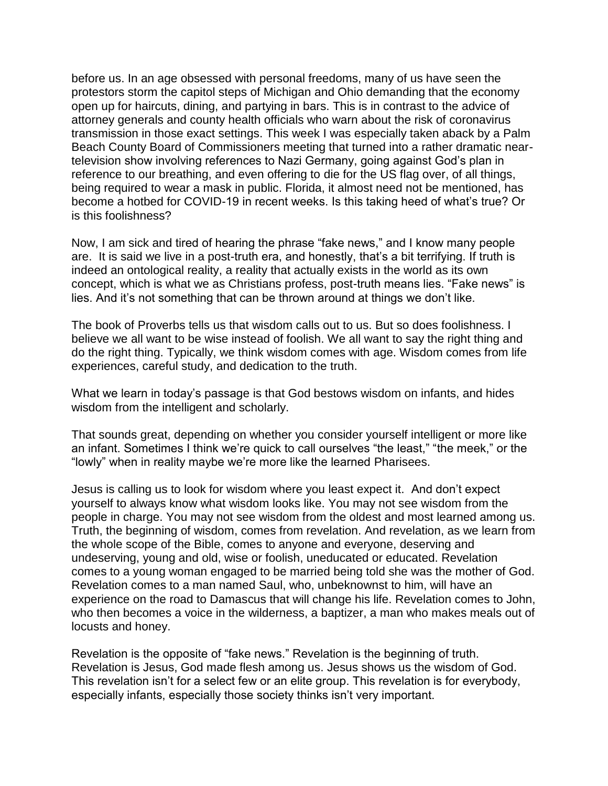before us. In an age obsessed with personal freedoms, many of us have seen the protestors storm the capitol steps of Michigan and Ohio demanding that the economy open up for haircuts, dining, and partying in bars. This is in contrast to the advice of attorney generals and county health officials who warn about the risk of coronavirus transmission in those exact settings. This week I was especially taken aback by a Palm Beach County Board of Commissioners meeting that turned into a rather dramatic neartelevision show involving references to Nazi Germany, going against God's plan in reference to our breathing, and even offering to die for the US flag over, of all things, being required to wear a mask in public. Florida, it almost need not be mentioned, has become a hotbed for COVID-19 in recent weeks. Is this taking heed of what's true? Or is this foolishness?

Now, I am sick and tired of hearing the phrase "fake news," and I know many people are. It is said we live in a post-truth era, and honestly, that's a bit terrifying. If truth is indeed an ontological reality, a reality that actually exists in the world as its own concept, which is what we as Christians profess, post-truth means lies. "Fake news" is lies. And it's not something that can be thrown around at things we don't like.

The book of Proverbs tells us that wisdom calls out to us. But so does foolishness. I believe we all want to be wise instead of foolish. We all want to say the right thing and do the right thing. Typically, we think wisdom comes with age. Wisdom comes from life experiences, careful study, and dedication to the truth.

What we learn in today's passage is that God bestows wisdom on infants, and hides wisdom from the intelligent and scholarly.

That sounds great, depending on whether you consider yourself intelligent or more like an infant. Sometimes I think we're quick to call ourselves "the least," "the meek," or the "lowly" when in reality maybe we're more like the learned Pharisees.

Jesus is calling us to look for wisdom where you least expect it. And don't expect yourself to always know what wisdom looks like. You may not see wisdom from the people in charge. You may not see wisdom from the oldest and most learned among us. Truth, the beginning of wisdom, comes from revelation. And revelation, as we learn from the whole scope of the Bible, comes to anyone and everyone, deserving and undeserving, young and old, wise or foolish, uneducated or educated. Revelation comes to a young woman engaged to be married being told she was the mother of God. Revelation comes to a man named Saul, who, unbeknownst to him, will have an experience on the road to Damascus that will change his life. Revelation comes to John, who then becomes a voice in the wilderness, a baptizer, a man who makes meals out of locusts and honey.

Revelation is the opposite of "fake news." Revelation is the beginning of truth. Revelation is Jesus, God made flesh among us. Jesus shows us the wisdom of God. This revelation isn't for a select few or an elite group. This revelation is for everybody, especially infants, especially those society thinks isn't very important.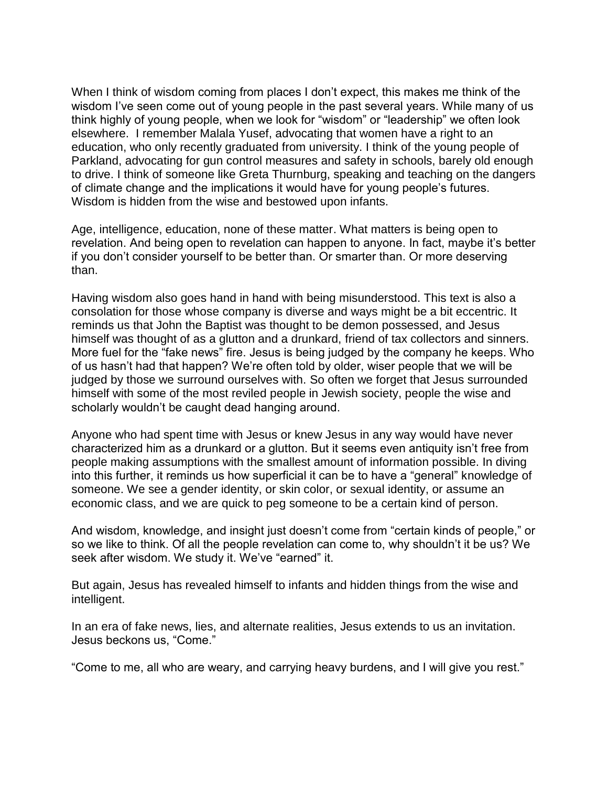When I think of wisdom coming from places I don't expect, this makes me think of the wisdom I've seen come out of young people in the past several years. While many of us think highly of young people, when we look for "wisdom" or "leadership" we often look elsewhere. I remember Malala Yusef, advocating that women have a right to an education, who only recently graduated from university. I think of the young people of Parkland, advocating for gun control measures and safety in schools, barely old enough to drive. I think of someone like Greta Thurnburg, speaking and teaching on the dangers of climate change and the implications it would have for young people's futures. Wisdom is hidden from the wise and bestowed upon infants.

Age, intelligence, education, none of these matter. What matters is being open to revelation. And being open to revelation can happen to anyone. In fact, maybe it's better if you don't consider yourself to be better than. Or smarter than. Or more deserving than.

Having wisdom also goes hand in hand with being misunderstood. This text is also a consolation for those whose company is diverse and ways might be a bit eccentric. It reminds us that John the Baptist was thought to be demon possessed, and Jesus himself was thought of as a glutton and a drunkard, friend of tax collectors and sinners. More fuel for the "fake news" fire. Jesus is being judged by the company he keeps. Who of us hasn't had that happen? We're often told by older, wiser people that we will be judged by those we surround ourselves with. So often we forget that Jesus surrounded himself with some of the most reviled people in Jewish society, people the wise and scholarly wouldn't be caught dead hanging around.

Anyone who had spent time with Jesus or knew Jesus in any way would have never characterized him as a drunkard or a glutton. But it seems even antiquity isn't free from people making assumptions with the smallest amount of information possible. In diving into this further, it reminds us how superficial it can be to have a "general" knowledge of someone. We see a gender identity, or skin color, or sexual identity, or assume an economic class, and we are quick to peg someone to be a certain kind of person.

And wisdom, knowledge, and insight just doesn't come from "certain kinds of people," or so we like to think. Of all the people revelation can come to, why shouldn't it be us? We seek after wisdom. We study it. We've "earned" it.

But again, Jesus has revealed himself to infants and hidden things from the wise and intelligent.

In an era of fake news, lies, and alternate realities, Jesus extends to us an invitation. Jesus beckons us, "Come."

"Come to me, all who are weary, and carrying heavy burdens, and I will give you rest."